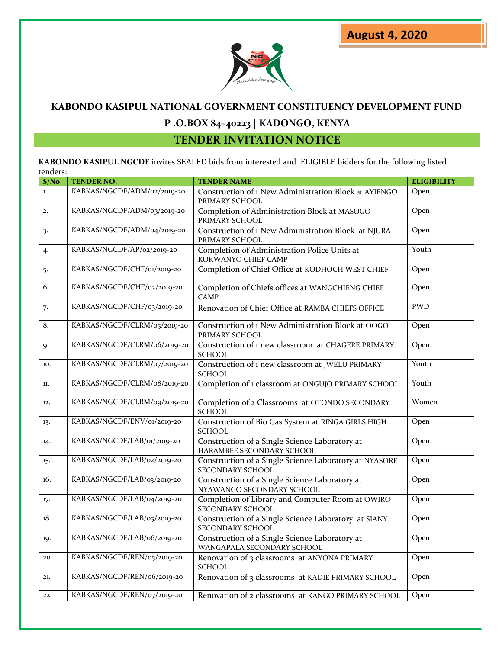

# **KABONDO KASIPUL NATIONAL GOVERNMENT CONSTITUENCY DEVELOPMENT FUND**

## **P .O.BOX 84–40223** | **KADONGO, KENYA**

## **TENDER INVITATION NOTICE**

**KABONDO KASIPUL NGCDF** invites SEALED bids from interested and ELIGIBLE bidders for the following listed tenders:

| S/No             | TENDER NO.                   | <b>TENDER NAME</b>                                                           | <b>ELIGIBILITY</b> |
|------------------|------------------------------|------------------------------------------------------------------------------|--------------------|
| $\mathbf{1}$ .   | KABKAS/NGCDF/ADM/02/2019-20  | Construction of 1 New Administration Block at AYIENGO<br>PRIMARY SCHOOL      | Open               |
| 2.               | KABKAS/NGCDF/ADM/03/2019-20  | Completion of Administration Block at MASOGO<br>PRIMARY SCHOOL               | Open               |
| $\overline{3}$   | KABKAS/NGCDF/ADM/04/2019-20  | Construction of 1 New Administration Block at NJURA<br>PRIMARY SCHOOL        | Open               |
| 4.               | KABKAS/NGCDF/AP/02/2019-20   | Completion of Administration Police Units at<br>KOKWANYO CHIEF CAMP          | Youth              |
| 5.               | KABKAS/NGCDF/CHF/01/2019-20  | Completion of Chief Office at KODHOCH WEST CHIEF                             | Open               |
| $\overline{6}$ . | KABKAS/NGCDF/CHF/02/2019-20  | Completion of Chiefs offices at WANGCHIENG CHIEF<br><b>CAMP</b>              | Open               |
| 7.               | KABKAS/NGCDF/CHF/03/2019-20  | Renovation of Chief Office at RAMBA CHIEFS OFFICE                            | <b>PWD</b>         |
| $\overline{8}$ . | KABKAS/NGCDF/CLRM/05/2019-20 | Construction of 1 New Administration Block at OOGO<br>PRIMARY SCHOOL         | Open               |
| 9.               | KABKAS/NGCDF/CLRM/06/2019-20 | Construction of 1 new classroom at CHAGERE PRIMARY<br><b>SCHOOL</b>          | Open               |
| 10.              | KABKAS/NGCDF/CLRM/07/2019-20 | Construction of 1 new classroom at JWELU PRIMARY<br><b>SCHOOL</b>            | Youth              |
| 11.              | KABKAS/NGCDF/CLRM/08/2019-20 | Completion of 1 classroom at ONGUJO PRIMARY SCHOOL                           | Youth              |
| 12.              | KABKAS/NGCDF/CLRM/09/2019-20 | Completion of 2 Classrooms at OTONDO SECONDARY<br><b>SCHOOL</b>              | Women              |
| 13.              | KABKAS/NGCDF/ENV/01/2019-20  | Construction of Bio Gas System at RINGA GIRLS HIGH<br><b>SCHOOL</b>          | Open               |
| 14.              | KABKAS/NGCDF/LAB/01/2019-20  | Construction of a Single Science Laboratory at<br>HARAMBEE SECONDARY SCHOOL  | Open               |
| 15.              | KABKAS/NGCDF/LAB/02/2019-20  | Construction of a Single Science Laboratory at NYASORE<br>SECONDARY SCHOOL   | Open               |
| 16.              | KABKAS/NGCDF/LAB/03/2019-20  | Construction of a Single Science Laboratory at<br>NYAWANGO SECONDARY SCHOOL  | Open               |
| 17.              | KABKAS/NGCDF/LAB/04/2019-20  | Completion of Library and Computer Room at OWIRO<br>SECONDARY SCHOOL         | Open               |
| 18.              | KABKAS/NGCDF/LAB/05/2019-20  | Construction of a Single Science Laboratory at SIANY<br>SECONDARY SCHOOL     | Open               |
| 19.              | KABKAS/NGCDF/LAB/06/2019-20  | Construction of a Single Science Laboratory at<br>WANGAPALA SECONDARY SCHOOL | Open               |
| 20.              | KABKAS/NGCDF/REN/05/2019-20  | Renovation of 3 classrooms at ANYONA PRIMARY<br><b>SCHOOL</b>                | Open               |
| 21.              | KABKAS/NGCDF/REN/06/2019-20  | Renovation of 3 classrooms at KADIE PRIMARY SCHOOL                           | Open               |
| 22.              | KABKAS/NGCDF/REN/07/2019-20  | Renovation of 2 classrooms at KANGO PRIMARY SCHOOL                           | Open               |